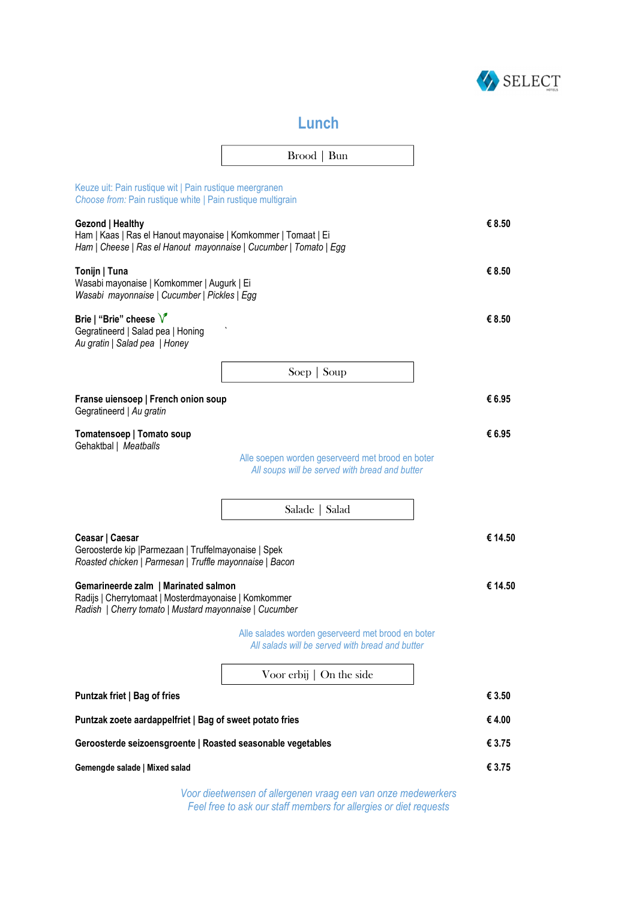

## **Lunch**

|                                                                                                                                                         | Broad   Bun                                                                                          |         |  |
|---------------------------------------------------------------------------------------------------------------------------------------------------------|------------------------------------------------------------------------------------------------------|---------|--|
|                                                                                                                                                         |                                                                                                      |         |  |
| Keuze uit: Pain rustique wit   Pain rustique meergranen<br>Choose from: Pain rustique white   Pain rustique multigrain                                  |                                                                                                      |         |  |
| Gezond   Healthy<br>Ham   Kaas   Ras el Hanout mayonaise   Komkommer   Tomaat   Ei<br>Ham   Cheese   Ras el Hanout mayonnaise   Cucumber   Tomato   Egg |                                                                                                      |         |  |
| Tonijn   Tuna<br>Wasabi mayonaise   Komkommer   Augurk   Ei<br>Wasabi mayonnaise   Cucumber   Pickles   Egg                                             |                                                                                                      | € 8.50  |  |
| Brie   "Brie" cheese $\sqrt{\ }$<br>Gegratineerd   Salad pea   Honing<br>Au gratin   Salad pea   Honey                                                  |                                                                                                      | € 8.50  |  |
|                                                                                                                                                         | Soep $\vert$ Soup                                                                                    |         |  |
| Franse uiensoep   French onion soup<br>Gegratineerd   Au gratin                                                                                         |                                                                                                      | € 6.95  |  |
| Tomatensoep   Tomato soup<br>Gehaktbal   Meatballs                                                                                                      |                                                                                                      | € 6.95  |  |
|                                                                                                                                                         | Alle soepen worden geserveerd met brood en boter<br>All soups will be served with bread and butter   |         |  |
|                                                                                                                                                         |                                                                                                      |         |  |
|                                                                                                                                                         | Salade   Salad                                                                                       |         |  |
| Ceasar   Caesar<br>Geroosterde kip   Parmezaan   Truffelmayonaise   Spek<br>Roasted chicken   Parmesan   Truffle mayonnaise   Bacon                     |                                                                                                      | € 14.50 |  |
| Gemarineerde zalm   Marinated salmon<br>Radijs   Cherrytomaat   Mosterdmayonaise   Komkommer<br>Radish   Cherry tomato   Mustard mayonnaise   Cucumber  |                                                                                                      | € 14.50 |  |
|                                                                                                                                                         | Alle salades worden geserveerd met brood en boter<br>All salads will be served with bread and butter |         |  |
|                                                                                                                                                         | Voor erbij $\vert$ On the side                                                                       |         |  |
| Puntzak friet   Bag of fries                                                                                                                            |                                                                                                      | € 3.50  |  |
| Puntzak zoete aardappelfriet   Bag of sweet potato fries                                                                                                |                                                                                                      | €4.00   |  |
| Geroosterde seizoensgroente   Roasted seasonable vegetables                                                                                             |                                                                                                      | € 3.75  |  |
| Gemengde salade   Mixed salad                                                                                                                           |                                                                                                      | € 3.75  |  |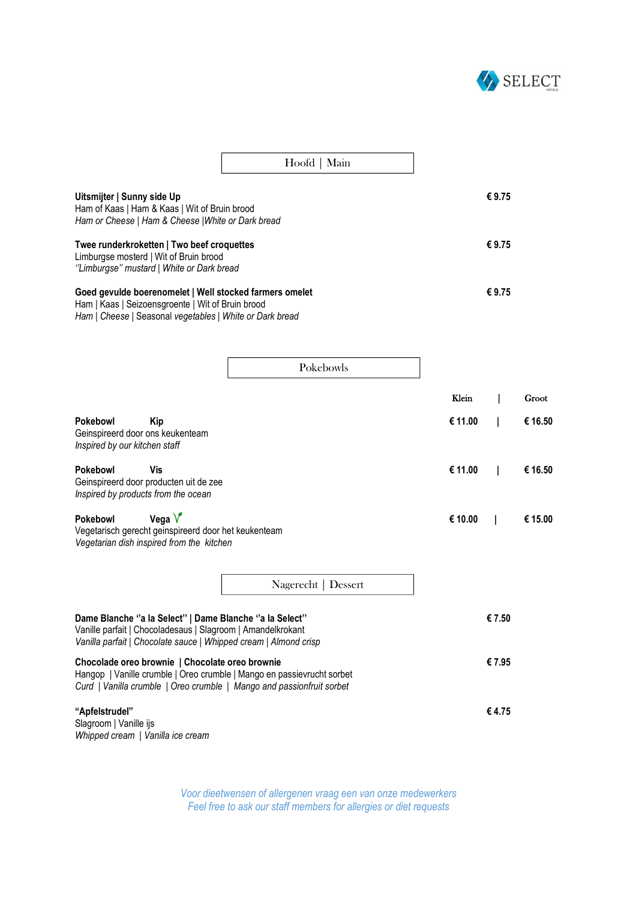

|                                                                                                                                                                          | Hoofd   Main |       |
|--------------------------------------------------------------------------------------------------------------------------------------------------------------------------|--------------|-------|
| Uitsmijter   Sunny side Up<br>Ham of Kaas   Ham & Kaas   Wit of Bruin brood<br>Ham or Cheese   Ham & Cheese   White or Dark bread                                        |              | €9.75 |
| Twee runderkroketten   Two beef croquettes<br>Limburgse mosterd   Wit of Bruin brood<br>'Limburgse" mustard   White or Dark bread                                        |              | €9.75 |
| Goed gevulde boerenomelet   Well stocked farmers omelet<br>Ham   Kaas   Seizoensgroente   Wit of Bruin brood<br>Ham   Cheese   Seasonal vegetables   White or Dark bread |              | €9.75 |

|                                                                                                  |                                                                                                               | Pokebowls                                                                                                                                                                                  |         |       |         |
|--------------------------------------------------------------------------------------------------|---------------------------------------------------------------------------------------------------------------|--------------------------------------------------------------------------------------------------------------------------------------------------------------------------------------------|---------|-------|---------|
|                                                                                                  |                                                                                                               |                                                                                                                                                                                            | Klein   |       | Groot   |
| <b>Pokebowl</b><br>Geinspireerd door ons keukenteam<br>Inspired by our kitchen staff             | <b>Kip</b>                                                                                                    |                                                                                                                                                                                            | € 11.00 |       | € 16.50 |
| <b>Pokebowl</b><br>Geinspireerd door producten uit de zee<br>Inspired by products from the ocean | Vis                                                                                                           |                                                                                                                                                                                            | € 11.00 |       | € 16.50 |
| Pokebowl                                                                                         | Vega $V$<br>Vegetarisch gerecht geinspireerd door het keukenteam<br>Vegetarian dish inspired from the kitchen |                                                                                                                                                                                            | € 10.00 |       | € 15.00 |
|                                                                                                  |                                                                                                               | Nagerecht   Dessert                                                                                                                                                                        |         |       |         |
|                                                                                                  |                                                                                                               | Dame Blanche "a la Select"   Dame Blanche "a la Select"<br>Vanille parfait   Chocoladesaus   Slagroom   Amandelkrokant<br>Vanilla parfait   Chocolate sauce   Whipped cream   Almond crisp |         | €7.50 |         |
|                                                                                                  | Chocolade oreo brownie   Chocolate oreo brownie                                                               | Hangop   Vanille crumble   Oreo crumble   Mango en passievrucht sorbet<br>Curd   Vanilla crumble   Oreo crumble   Mango and passionfruit sorbet                                            |         | €7.95 |         |
| "Apfelstrudel"<br>Slagroom   Vanille ijs<br>Whipped cream   Vanilla ice cream                    |                                                                                                               |                                                                                                                                                                                            |         | €4.75 |         |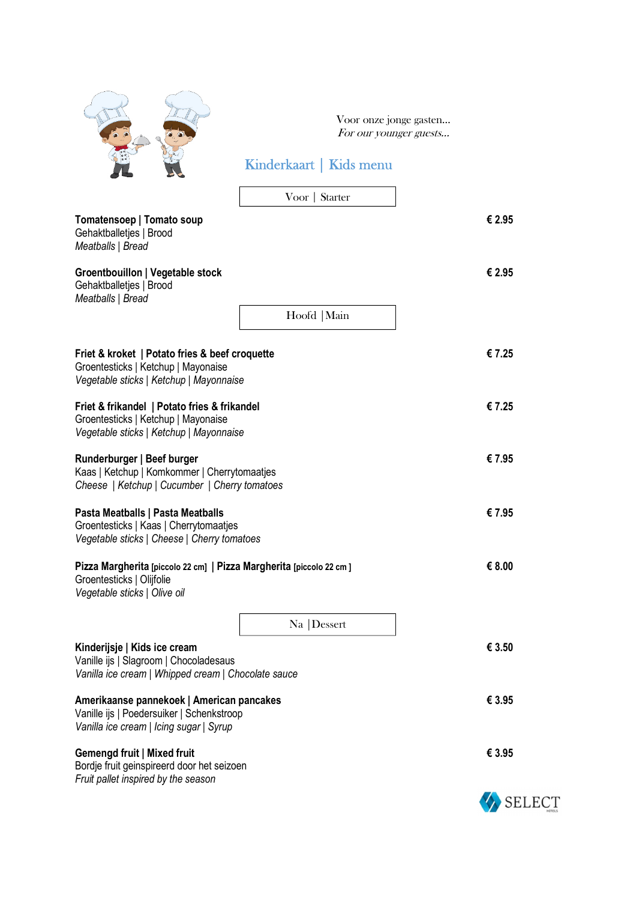|                                                                                                                                   | Voor onze jonge gasten<br>For our younger guests<br>Kinderkaart   Kids menu |        |
|-----------------------------------------------------------------------------------------------------------------------------------|-----------------------------------------------------------------------------|--------|
|                                                                                                                                   | Voor   Starter                                                              |        |
| Tomatensoep   Tomato soup<br>Gehaktballetjes   Brood<br>Meatballs   Bread                                                         |                                                                             | € 2.95 |
| Groentbouillon   Vegetable stock<br>Gehaktballetjes   Brood<br>Meatballs   Bread                                                  |                                                                             | € 2.95 |
|                                                                                                                                   | Hoofd   Main                                                                |        |
| Friet & kroket   Potato fries & beef croquette<br>Groentesticks   Ketchup   Mayonaise<br>Vegetable sticks   Ketchup   Mayonnaise  |                                                                             | €7.25  |
| Friet & frikandel   Potato fries & frikandel<br>Groentesticks   Ketchup   Mayonaise<br>Vegetable sticks   Ketchup   Mayonnaise    |                                                                             | €7.25  |
| Runderburger   Beef burger<br>Kaas   Ketchup   Komkommer   Cherrytomaatjes<br>Cheese   Ketchup   Cucumber   Cherry tomatoes       |                                                                             | € 7.95 |
| Pasta Meatballs   Pasta Meatballs<br>Groentesticks   Kaas   Cherrytomaatjes<br>Vegetable sticks   Cheese   Cherry tomatoes        |                                                                             | € 7.95 |
| Pizza Margherita [piccolo 22 cm]   Pizza Margherita [piccolo 22 cm]<br>Groentesticks   Olijfolie<br>Vegetable sticks   Olive oil  |                                                                             | € 8.00 |
|                                                                                                                                   | Na   Dessert                                                                |        |
| Kinderijsje   Kids ice cream<br>Vanille ijs   Slagroom   Chocoladesaus<br>Vanilla ice cream   Whipped cream   Chocolate sauce     |                                                                             | € 3.50 |
| Amerikaanse pannekoek   American pancakes<br>Vanille ijs   Poedersuiker   Schenkstroop<br>Vanilla ice cream   Icing sugar   Syrup |                                                                             | € 3.95 |
| Gemengd fruit   Mixed fruit<br>Bordje fruit geinspireerd door het seizoen<br>Fruit pallet inspired by the season                  |                                                                             | € 3.95 |
|                                                                                                                                   |                                                                             | SELECT |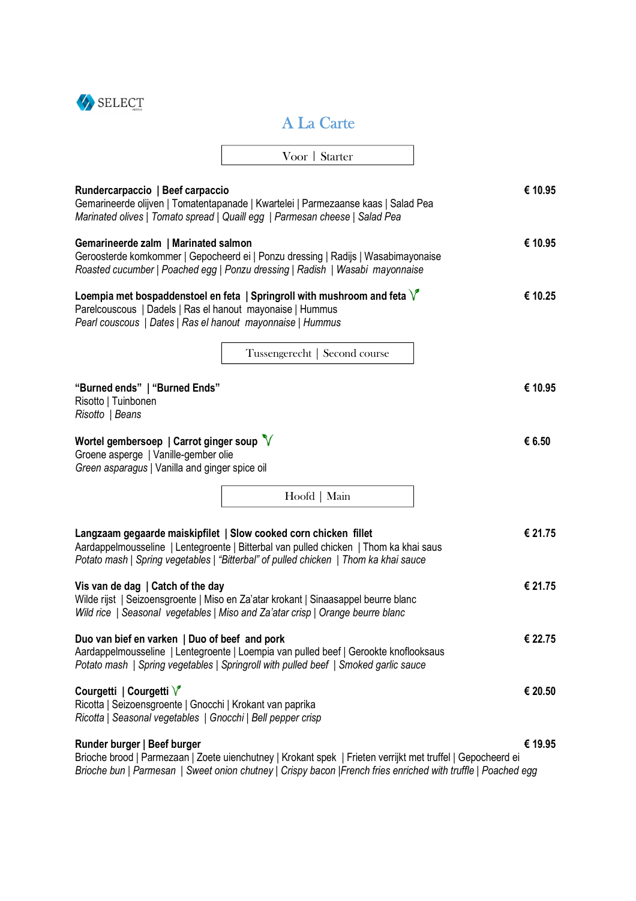

## A La Carte

|                                                                                                                                                     | Voor   Starter                                                                                                                                                                                                                                    |         |
|-----------------------------------------------------------------------------------------------------------------------------------------------------|---------------------------------------------------------------------------------------------------------------------------------------------------------------------------------------------------------------------------------------------------|---------|
| Rundercarpaccio   Beef carpaccio                                                                                                                    | Gemarineerde olijven   Tomatentapanade   Kwartelei   Parmezaanse kaas   Salad Pea<br>Marinated olives   Tomato spread   Quaill egg   Parmesan cheese   Salad Pea                                                                                  | € 10.95 |
| Gemarineerde zalm   Marinated salmon                                                                                                                | Geroosterde komkommer   Gepocheerd ei   Ponzu dressing   Radijs   Wasabimayonaise<br>Roasted cucumber   Poached egg   Ponzu dressing   Radish   Wasabi mayonnaise                                                                                 | € 10.95 |
| Parelcouscous   Dadels   Ras el hanout mayonaise   Hummus<br>Pearl couscous   Dates   Ras el hanout mayonnaise   Hummus                             | Loempia met bospaddenstoel en feta   Springroll with mushroom and feta $\sqrt{\ }$                                                                                                                                                                | € 10.25 |
|                                                                                                                                                     | Tussengerecht   Second course                                                                                                                                                                                                                     |         |
| "Burned ends"   "Burned Ends"<br>Risotto   Tuinbonen<br>Risotto   Beans                                                                             |                                                                                                                                                                                                                                                   | € 10.95 |
| Wortel gembersoep   Carrot ginger soup $\sqrt[n]{ }$<br>Groene asperge   Vanille-gember olie<br>Green asparagus   Vanilla and ginger spice oil      |                                                                                                                                                                                                                                                   | € 6.50  |
|                                                                                                                                                     | Hoofd   Main                                                                                                                                                                                                                                      |         |
|                                                                                                                                                     | Langzaam gegaarde maiskipfilet   Slow cooked corn chicken fillet<br>Aardappelmousseline   Lentegroente   Bitterbal van pulled chicken   Thom ka khai saus<br>Potato mash   Spring vegetables   "Bitterbal" of pulled chicken   Thom ka khai sauce | € 21.75 |
| Vis van de dag   Catch of the day                                                                                                                   | Wilde rijst   Seizoensgroente   Miso en Za'atar krokant   Sinaasappel beurre blanc<br>Wild rice   Seasonal vegetables   Miso and Za'atar crisp   Orange beurre blanc                                                                              | € 21.75 |
| Duo van bief en varken   Duo of beef and pork                                                                                                       | Aardappelmousseline   Lentegroente   Loempia van pulled beef   Gerookte knoflooksaus<br>Potato mash   Spring vegetables   Springroll with pulled beef   Smoked garlic sauce                                                                       | € 22.75 |
| Courgetti   Courgetti V<br>Ricotta   Seizoensgroente   Gnocchi   Krokant van paprika<br>Ricotta   Seasonal vegetables   Gnocchi   Bell pepper crisp |                                                                                                                                                                                                                                                   | € 20.50 |
| Runder burger   Beef burger                                                                                                                         | Brioche brood   Parmezaan   Zoete uienchutney   Krokant spek   Frieten verrijkt met truffel   Gepocheerd ei<br>Brioche bun   Parmesan   Sweet onion chutney   Crispy bacon   French fries enriched with truffle   Poached egg                     | € 19.95 |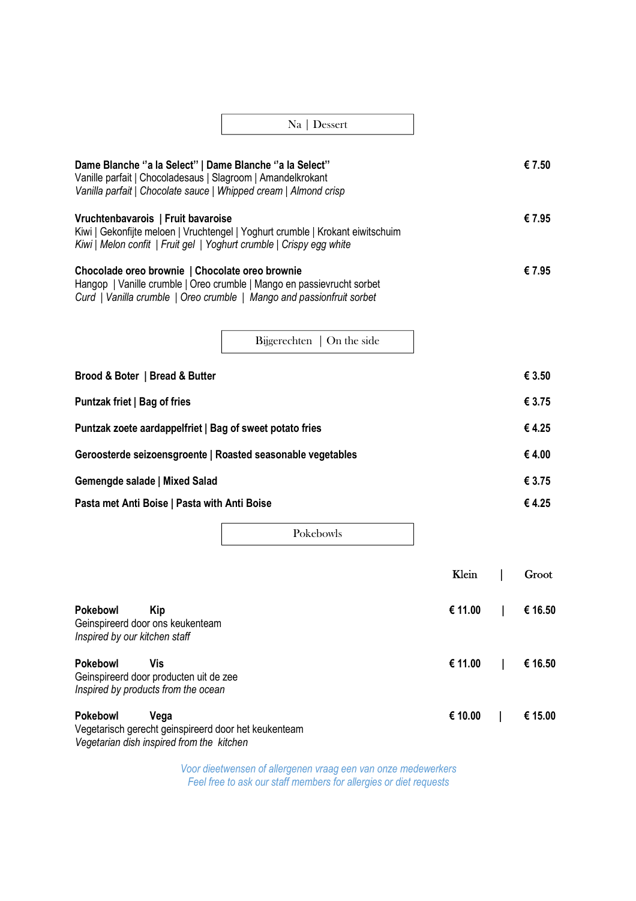|                                                                                                                                                                                            | Na   Dessert                                                                                                                                    |         |         |
|--------------------------------------------------------------------------------------------------------------------------------------------------------------------------------------------|-------------------------------------------------------------------------------------------------------------------------------------------------|---------|---------|
| Dame Blanche "a la Select"   Dame Blanche "a la Select"<br>Vanille parfait   Chocoladesaus   Slagroom   Amandelkrokant<br>Vanilla parfait   Chocolate sauce   Whipped cream   Almond crisp |                                                                                                                                                 |         | € 7.50  |
| Vruchtenbavarois   Fruit bavaroise<br>Kiwi   Melon confit   Fruit gel   Yoghurt crumble   Crispy egg white                                                                                 | Kiwi   Gekonfijte meloen   Vruchtengel   Yoghurt crumble   Krokant eiwitschuim                                                                  |         | € 7.95  |
| Chocolade oreo brownie   Chocolate oreo brownie                                                                                                                                            | Hangop   Vanille crumble   Oreo crumble   Mango en passievrucht sorbet<br>Curd   Vanilla crumble   Oreo crumble   Mango and passionfruit sorbet |         | € 7.95  |
|                                                                                                                                                                                            | Bijgerechten $\vert$ On the side                                                                                                                |         |         |
| Brood & Boter   Bread & Butter                                                                                                                                                             |                                                                                                                                                 |         | € 3.50  |
| Puntzak friet   Bag of fries                                                                                                                                                               |                                                                                                                                                 |         | € 3.75  |
| Puntzak zoete aardappelfriet   Bag of sweet potato fries                                                                                                                                   |                                                                                                                                                 |         | €4.25   |
| Geroosterde seizoensgroente   Roasted seasonable vegetables                                                                                                                                |                                                                                                                                                 |         | €4.00   |
| Gemengde salade   Mixed Salad                                                                                                                                                              |                                                                                                                                                 |         | € 3.75  |
| Pasta met Anti Boise   Pasta with Anti Boise                                                                                                                                               |                                                                                                                                                 |         | €4.25   |
|                                                                                                                                                                                            | Pokebowls                                                                                                                                       |         |         |
|                                                                                                                                                                                            |                                                                                                                                                 | Klein   | Groot   |
| Pokebowl<br><b>Kip</b><br>Geinspireerd door ons keukenteam                                                                                                                                 |                                                                                                                                                 | € 11.00 | € 16.50 |

*Inspired by our kitchen staff* 

**Pokebowl Vis € 11.00 | € 16.50**  Geinspireerd door producten uit de zee *Inspired by products from the ocean*  **Pokebowl Vega € 10.00 | € 15.00** 

Vegetarisch gerecht geinspireerd door het keukenteam *Vegetarian dish inspired from the kitchen*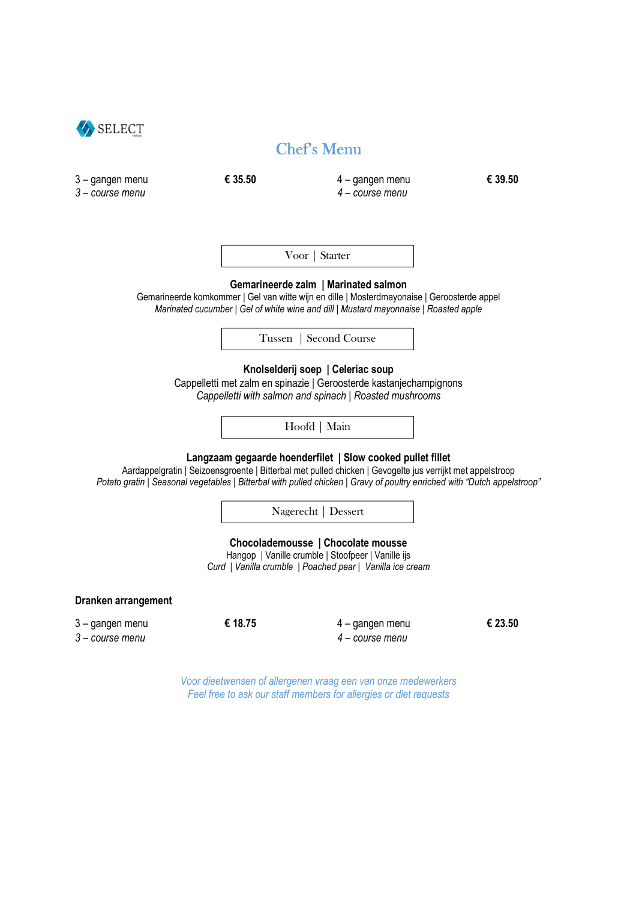

## Chef's Menu

| 3 - gangen menu<br>$3$ – course menu | € 35.50 | 4 - gangen menu<br>4 - course menu                                                                                                                                                                                                                                                                  | € 39.50 |
|--------------------------------------|---------|-----------------------------------------------------------------------------------------------------------------------------------------------------------------------------------------------------------------------------------------------------------------------------------------------------|---------|
|                                      |         |                                                                                                                                                                                                                                                                                                     |         |
|                                      |         | Voor   Starter                                                                                                                                                                                                                                                                                      |         |
|                                      |         | Gemarineerde zalm   Marinated salmon<br>Gemarineerde komkommer   Gel van witte wijn en dille   Mosterdmayonaise   Geroosterde appel<br>Marinated cucumber   Gel of white wine and dill   Mustard mayonnaise   Roasted apple                                                                         |         |
|                                      |         | Tussen   Second Course                                                                                                                                                                                                                                                                              |         |
|                                      |         | Knolselderij soep   Celeriac soup<br>Cappelletti met zalm en spinazie   Geroosterde kastanjechampignons<br>Cappelletti with salmon and spinach   Roasted mushrooms                                                                                                                                  |         |
|                                      |         | Hoofd   Main                                                                                                                                                                                                                                                                                        |         |
|                                      |         | Langzaam gegaarde hoenderfilet   Slow cooked pullet fillet<br>Aardappelgratin   Seizoensgroente   Bitterbal met pulled chicken   Gevogelte jus verrijkt met appelstroop<br>Potato gratin   Seasonal vegetables   Bitterbal with pulled chicken   Gravy of poultry enriched with "Dutch appelstroop" |         |
|                                      |         | Nagerecht   Dessert                                                                                                                                                                                                                                                                                 |         |
|                                      |         | Chocolademousse   Chocolate mousse<br>Hangop   Vanille crumble   Stoofpeer   Vanille ijs<br>Curd   Vanilla crumble   Poached pear   Vanilla ice cream                                                                                                                                               |         |
| <b>Dranken arrangement</b>           |         |                                                                                                                                                                                                                                                                                                     |         |
| 3 - gangen menu<br>3 - course menu   | € 18.75 | 4 - gangen menu<br>4 - course menu                                                                                                                                                                                                                                                                  | € 23.50 |
|                                      |         | Voor dieetwensen of allergenen vraag een van onze medewerkers<br>Feel free to ask our staff members for allergies or diet requests                                                                                                                                                                  |         |